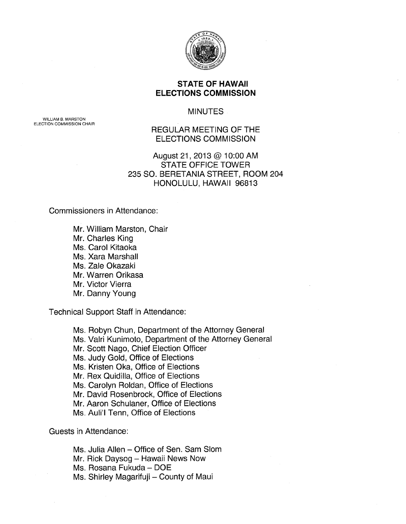

## **STATE OF HAWAII ELECTIONS COMMISSION**

**MINUTES** 

REGULAR MEETING OF THE ELECTIONS COMMISSION

August 21, 2013 @ 1 0:00 AM STATE OFFICE TOWER 235 SO. BERETANIA STREET, ROOM 204 HONOLULU, HAWAII 96813

Commissioners in Attendance:

Mr. William Marston, Chair Mr. Charles King Ms. Carol Kitaoka Ms. Xara Marshall Ms. Zale Okazaki Mr. Warren Orikasa Mr. Victor Vierra Mr. Danny Young

Technical Support Staff in Attendance:

Ms. Robyn Chun, Department of the Attorney General Ms. Valri Kunimoto, Department of the Attorney General Mr. Scott Nago, Chief Election Officer Ms. Judy Gold, Office of Elections Ms. Kristen Oka, Office of Elections Mr. Rex Quidilla, Office of Elections Ms. Carolyn Roldan, Office of Elections Mr. David Rosenbrock, Office of Elections Mr. Aaron Schulaner, Office of Elections Ms. Auli'l Tenn, Office of Elections

Guests in Attendance:

Ms. Julia Allen- Office of Sen. Sam Slom Mr. Rick Daysog - Hawaii News Now Ms. Rosana Fukuda- DOE Ms. Shirley Magarifuji - County of Maui

WILLIAM B. MARSTON ELECTION COMMISSION CHAIR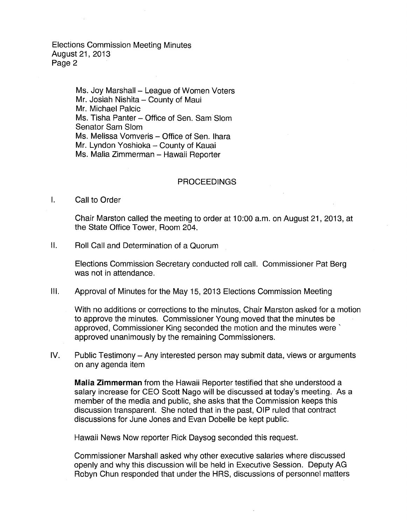> Ms. Joy Marshall - League of Women Voters Mr. Josiah Nishita - County of Maui Mr. Michael Palcic Ms. Tisha Panter – Office of Sen. Sam Slom Senator Sam Slom Ms. Melissa Vomveris - Office of Sen. Ihara Mr. Lyndon Yoshioka - County of Kauai Ms. Malia Zimmerman - Hawaii Reporter

## **PROCEEDINGS**

I. Call to Order

Chair Marston called the meeting to order at 1 0:00 a.m. on August 21, 2013, at the State Office Tower, Room 204.

II. Roll Call and Determination of a Quorum

Elections Commission Secretary conducted roll call. Commissioner Pat Berg was not in attendance.

Ill. Approval of Minutes for the May 15, 2013 Elections Commission Meeting

With no additions or corrections to the minutes, Chair Marston asked for a motion to approve the minutes. Commissioner Young moved that the minutes be approved, Commissioner King seconded the motion and the minutes were' approved unanimously by the remaining Commissioners.

IV. Public Testimony- Any interested person may submit data, views or arguments on any agenda item

**Malia Zimmerman** from the Hawaii Reporter testified that she understood a salary increase for CEO Scott Nago will be discussed at today's meeting. As a member of the media and public, she asks that the Commission keeps this discussion transparent. She noted that in the past, OIP ruled that contract discussions for June Jones and Evan Dobelle be kept public.

Hawaii News Now reporter Rick Daysog seconded this request.

Commissioner Marshall asked why other executive salaries where discussed openly and why this discussion will be held in Executive Session. Deputy AG Robyn Chun responded that under the HRS, discussions of personnel matters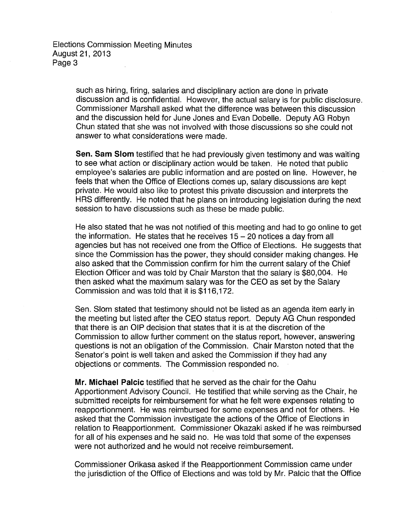> such as hiring, firing, salaries and disciplinary action are done in private discussion and is confidential. However, the actual salary is for public disclosure. Commissioner Marshall asked what the difference was between this discussion and the discussion held for June Jones and Evan Dobelle. Deputy AG Robyn Chun stated that she was not involved with those discussions so she could not answer to what considerations were made.

> **Sen. Sam Slom** testified that he had previously given testimony and was waiting to see what action or disciplinary action would be taken. He noted that public employee's salaries are public information and are posted on line. However, he feels that when the Office of Elections comes up, salary discussions are kept private. He would also like to protest this private discussion and interprets the HRS differently. He noted that he plans on introducing legislation during the next session to have discussions such as these be made public.

> He also stated that he was not notified of this meeting and had to go online to get the information. He states that he receives  $15-20$  notices a day from all agencies but has not received one from the Office of Elections. He suggests that since the Commission has the power, they should consider making changes. He also asked that the Commission confirm for him the current salary of the Chief Election Officer and was told by Chair Marston that the salary is \$80,004. He then asked what the maximum salary was for the CEO as set by the Salary Commission and was told that it is \$116,172.

Sen. Slom stated that testimony should not be listed as an agenda item early in the meeting but listed after the CEO status report. Deputy AG Chun responded that there is an OIP decision that states that it is at the discretion of the Commission to allow further comment on the status report, however, answering questions is not an obligation of the Commission. Chair Marston noted that the Senator's point is well taken and asked the Commission if they had any objections or comments. The Commission responded no.

**Mr. Michael Palcic** testified that he served as the chair for the Oahu Apportionment Advisory Council. He testified that while serving as the Chair, he submitted receipts for reimbursement for what he felt were expenses relating to reapportionment. He was reimbursed for some expenses and not for others. He asked that the Commission investigate the actions of the Office of Elections in relation to Reapportionment. Commissioner Okazaki asked if he was reimbursed for all of his expenses and he said no. He was told that some of the expenses were not authorized and he would not receive reimbursement.

Commissioner Orikasa asked if the Reapportionment Commission came under the jurisdiction of the Office of Elections and was told by Mr. Palcic that the Office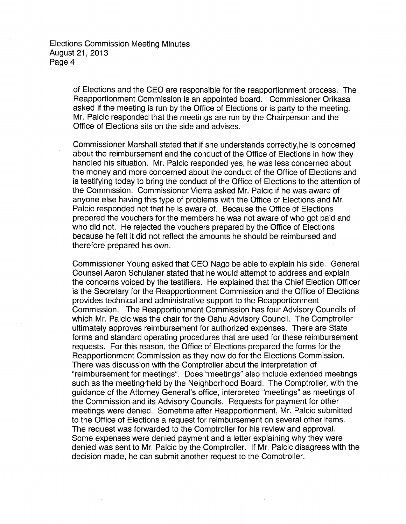of Elections and the CEO are responsible for the reapportionment process. The Reapportionment Commission is an appointed board. Commissioner Orikasa asked if the meeting is run by the Office of Elections or is party to the meeting. Mr. Palcic responded that the meetings are run by the Chairperson and the Office of Elections sits on the side and advises.

Commissioner Marshall stated that if she understands correctly,he is concerned about the reimbursement and the conduct of the Office of Elections in how they handled his situation. Mr. Palcic responded yes, he was less concerned about the money and more concerned about the conduct of the Office of Elections and is testifying today to bring the conduct of the Office of Elections to the attention of the Commission. Commissioner Vierra asked Mr. Palcic if he was aware of anyone else having this type of problems with the Office of Elections and Mr. Palcic responded not that he is aware of. Because the Office of Elections prepared the vouchers for the members he was not aware of who got paid and who did not. He rejected the vouchers prepared by the Office of Elections because he felt it did not reflect the amounts he should be reimbursed and therefore prepared his own.

Commissioner Young asked that CEO Nago be able to explain his side. General Counsel Aaron Schulaner stated that he would attempt to address and explain the concerns voiced by the testifiers. He explained that the Chief Election Officer is the Secretary for the Reapportionment Commission and the Office of Elections provides technical and administrative support to the Reapportionment Commission. The Reapportionment Commission has four Advisory Councils of which Mr. Palcic was the chair for the Oahu Advisory Council. The Comptroller ultimately approves reimbursement for authorized expenses. There are State forms and standard operating procedures that are used for these reimbursement requests. For this reason, the Office of Elections prepared the forms for the Reapportionment Commission as they now do for the Elections Commission. There was discussion with the Comptroller about the interpretation of "reimbursement for meetings". Does "meetings" also include extended meetings such as the meeting held by the Neighborhood Board. The Comptroller, with the guidance of the Attorney General's office, interpreted "meetings" as meetings of the Commission and its Advisory Councils. Requests for payment for other meetings were denied. Sometime after Reapportionment, Mr. Palcic submitted to the Office of Elections a request for reimbursement on several other items. The request was forwarded to the Comptroller for his review and approval. Some expenses were denied payment and a letter explaining why they were denied was sent to Mr. Palcic by the Comptroller. If Mr. Palcic disagrees with the decision made, he can submit another request to the Comptroller.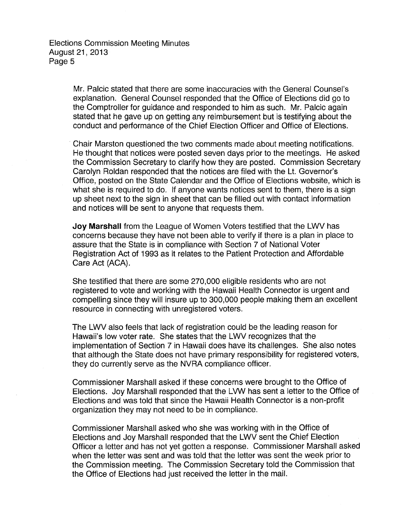> Mr. Palcic stated that there are some inaccuracies with the General Counsel's explanation. General Counsel responded that the Office of Elections did go to the Comptroller for guidance and responded to him as such. Mr. Palcic again stated that he gave up on getting any reimbursement but is testifying about the conduct and performance of the Chief Election Officer and Office of Elections.

Chair Marston questioned the two comments made about meeting notifications. He thought that notices were posted seven days prior to the meetings. He asked the Commission Secretary to clarify how they are posted. Commission Secretary Carolyn Roldan responded that the notices are filed with the Lt. Governor's Office, posted on the State Calendar and the Office of Elections website, which is what she is required to do. If anyone wants notices sent to them, there is a sign up sheet next to the sign in sheet that can be filled out with contact information and notices will be sent to anyone that requests them.

**Joy Marshall** from the League of Women Voters testified that the LWV has concerns because they have not been able to verify if there is a plan in place to assure that the State is in compliance with Section 7 of National Voter Registration Act of 1993 as it relates to the Patient Protection and Affordable Care Act (ACA).

She testified that there are some 270,000 eligible residents who are not registered to vote and working with the Hawaii Health Connector is urgent and compelling since they will insure up to 300,000 people making them an excellent resource in connecting with unregistered voters.

The LWV also feels that lack of registration could be the leading reason for Hawaii's low voter rate. She states that the LWV recognizes that the implementation of Section 7 in Hawaii does have its challenges. She also notes that although the State does not have primary responsibility for registered voters, they do currently serve as the NVRA compliance officer.

Commissioner Marshall asked if these concerns were brought to the Office of Elections. Joy Marshall responded that the LVW has sent a letter to the Office of Elections and was told that since the Hawaii Health Connector is a non-profit organization they may not need to be in compliance.

Commissioner Marshall asked who she was working with in the Office of Elections and Joy Marshall responded that the LWV sent the Chief Election Officer a letter and has not yet gotten a response. Commissioner Marshall asked when the letter was sent and was told that the letter was sent the week prior to the Commission meeting. The Commission Secretary told the Commission that the Office of Elections had just received the letter in the mail.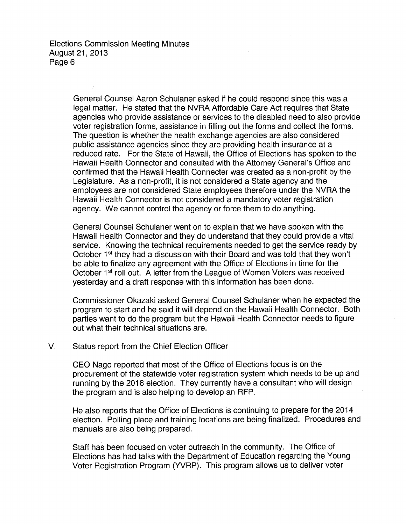> General Counsel Aaron Schulaner asked if he could respond since this was a legal matter. He stated that the NVRA Affordable Care Act requires that State agencies who provide assistance or services to the disabled need to also provide voter registration forms, assistance in filling out the forms and collect the forms. The question is whether the health exchange agencies are also considered public assistance agencies since they are providing health insurance at a reduced rate. For the State of Hawaii, the Office of Elections has spoken to the Hawaii Health Connector and consulted with the Attorney General's Office and confirmed that the Hawaii Health Connecter was created as a non-profit by the Legislature. As a non-profit, it is not considered a State agency and the employees are not considered State employees therefore under the NVRA the Hawaii Health Connector is not considered a mandatory voter registration agency. We cannot control the agency or force them to do anything.

> General Counsel Schulaner went on to explain that we have spoken with the Hawaii Health Connector and they do understand that they could provide a vital service. Knowing the technical requirements needed to get the service ready by October 1<sup>st</sup> they had a discussion with their Board and was told that they won't be able to finalize any agreement with the Office of Elections in time for the October 1<sup>st</sup> roll out. A letter from the League of Women Voters was received yesterday and a draft response with this information has been done.

Commissioner Okazaki asked General Counsel Schulaner when he expected the program to start and he said it will depend on the Hawaii Health Connector. Both parties want to do the program but the Hawaii Health Connector needs to figure out what their technical situations are.

## V. Status report from the Chief Election Officer

CEO Nago reported that most of the Office of Elections focus is on the procurement of the statewide voter registration system which needs to be up and running by the 2016 election. They currently have a consultant who will design the program and is also helping to develop an RFP.

He also reports that the Office of Elections is continuing to prepare for the 2014 election. Polling place and training locations are being finalized. Procedures and manuals are also being prepared.

Staff has been focused on voter outreach in the community. The Office of Elections has had talks with the Department of Education regarding the Young Voter Registration Program (YVRP). This program allows us to deliver voter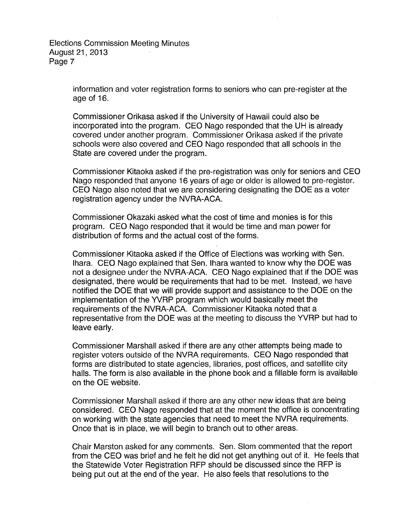> information and voter registration forms to seniors who can pre-register at the age of 16.

Commissioner Orikasa asked if the University of Hawaii could also be incorporated into the program. CEO Nago responded that the UH is already covered under another program. Commissioner Orikasa asked if the private schools were also covered and CEO Nago responded that all schools in the State are covered under the program.

Commissioner Kitaoka asked if the pre-registration was only for seniors and CEO Nago responded that anyone 16 years of age or older is allowed to pre-register. CEO Nago also noted that we are considering designating the DOE as a voter registration agency under the NVRA-ACA.

Commissioner Okazaki asked what the cost of time and monies is for this program. CEO Nago responded that it would be time and man power for distribution of forms and the actual cost of the forms.

Commissioner Kitaoka asked if the Office of Elections was working with Sen. lhara. CEO Nago explained that Sen. lhara wanted to know why the DOE was not a designee under the NVRA-ACA. CEO Nago explained that if the DOE was designated, there would be requirements that had to be met. Instead, we have notified the DOE that we will provide support and assistance to the DOE on the implementation of the YVRP program which would basically meet the requirements of the NVRA-ACA. Commissioner Kitaoka noted that a representative from the DOE was at the meeting to discuss the YVRP but had to leave early.

Commissioner Marshall asked if there are any other attempts being made to register voters outside of the NVRA requirements. CEO Nago responded that forms are distributed to state agencies, libraries, post offices, and satellite city halls. The form is also available in the phone book and a tillable form is available on the OE website.

Commissioner Marshall asked if there are any other new ideas that are being considered. CEO Nago responded that at the moment the office is concentrating on working with the state agencies that need to meet the NVRA requirements. Once that is in place, we will begin to branch out to other areas.

Chair Marston asked for any comments. Sen. Slom commented that the report from the CEO was brief and he felt he did not get anything out of it. He feels that the Statewide Voter Registration RFP should be discussed since the RFP is being put out at the end of the year. He also feels that resolutions to the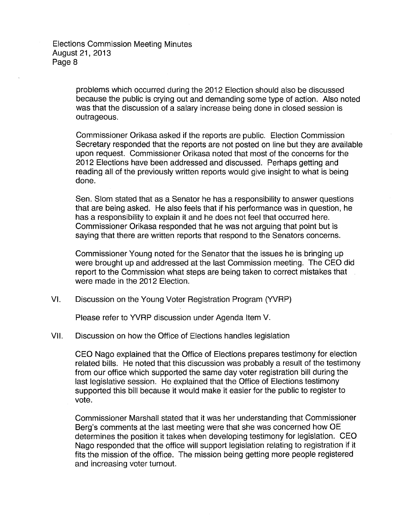> problems which occurred during the 2012 Election should also be discussed because the public is crying out and demanding some type of action. Also noted was that the discussion of a salary increase being done in closed session is outrageous.

> Commissioner Orikasa asked if the reports are public. Election Commission Secretary responded that the reports are not posted on line but they are available upon request. Commissioner Orikasa noted that most of the concerns for the 2012 Elections have been addressed and discussed. Perhaps getting and reading all of the previously written reports would give insight to what is being done.

Sen. Slam stated that as a Senator he has a responsibility to answer questions that are being asked. He also feels that if his performance was in question, he has a responsibility to explain it and he does not feel that occurred here. Commissioner Orikasa responded that he was not arguing that point but is saying that there are written reports that respond to the Senators concerns.

Commissioner Young noted for the Senator that the issues he is bringing up were brought up and addressed at the last Commission meeting. The CEO did report to the Commission what steps are being taken to correct mistakes that were made in the 2012 Election.

VI. Discussion on the Young Voter Registration Program (YVRP)

Please refer to YVRP discussion under Agenda Item V.

VII. Discussion on how the Office of Elections handles legislation

CEO Nago explained that the Office of Elections prepares testimony for election related bills. He noted that this discussion was probably a result of the testimony from our office which supported the same day voter registration bill during the last legislative session. He explained that the Office of Elections testimony supported this bill because it would make it easier for the public to register to vote.

Commissioner Marshall stated that it was her understanding that Commissioner Berg's comments at the last meeting were that she was concerned how OE determines the position it takes when developing testimony for legislation. CEO Nago responded that the office will support legislation relating to registration if it fits the mission of the office. The mission being getting more people registered and increasing voter turnout.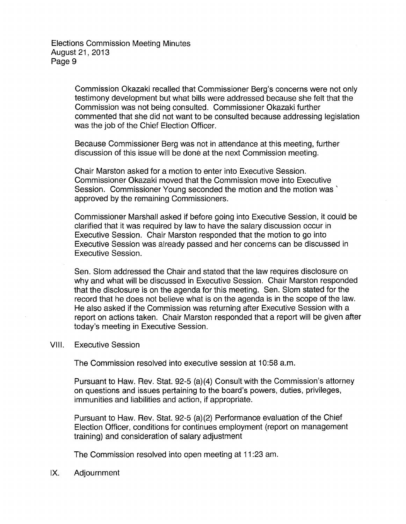Commission Okazaki recalled that Commissioner Berg's concerns were not only testimony development but what bills were addressed because she felt that the Commission was not being consulted. Commissioner Okazaki further commented that she did not want to be consulted because addressing legislation was the job of the Chief Election Officer.

Because Commissioner Berg was not in attendance at this meeting, further discussion of this issue will be done at the next Commission meeting.

Chair Marston asked for a motion to enter into Executive Session. Commissioner Okazaki moved that the Commission move into Executive Session. Commissioner Young seconded the motion and the motion was ` approved by the remaining Commissioners.

Commissioner Marshall asked if before going into Executive Session, it could be clarified that it was required by law to have the salary discussion occur in Executive Session. Chair Marston responded that the motion to go into Executive Session was already passed and her concerns can be discussed in Executive Session.

Sen. Slam addressed the Chair and stated that the law requires disclosure on why and what will be discussed in Executive Session. Chair Marston responded that the disclosure is on the agenda for this meeting. Sen. Slom stated for the record that he does not believe what is on the agenda is in the scope of the law. He also asked if the Commission was returning after Executive Session with a report on actions taken. Chair Marston responded that a report will be given after today's meeting in Executive Session.

## VIII. Executive Session

The Commission resolved into executive session at 10:58 a.m.

Pursuant to Haw. Rev. Stat. 92-5 (a)(4) Consult with the Commission's attorney on questions and issues pertaining to the board's powers, duties, privileges, immunities and liabilities and action, if appropriate.

Pursuant to Haw. Rev. Stat. 92-5 (a) (2) Performance evaluation of the Chief Election Officer, conditions for continues employment (report on management training) and consideration of salary adjustment

The Commission resolved into open meeting at 11:23 am.

IX. Adjournment